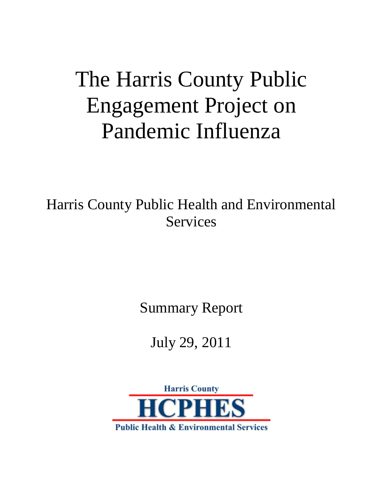# The Harris County Public Engagement Project on Pandemic Influenza

Harris County Public Health and Environmental Services

Summary Report

# July 29, 2011

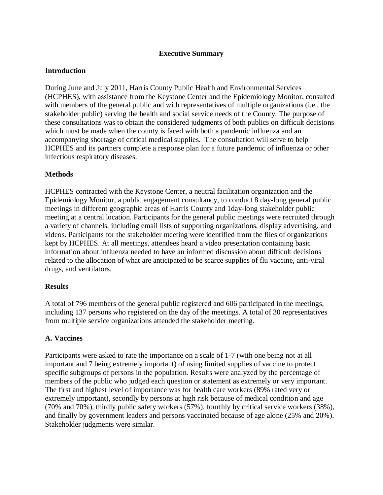#### **Executive Summary**

#### **Introduction**

During June and July 2011, Harris County Public Health and Environmental Services (HCPHES), with assistance from the Keystone Center and the Epidemiology Monitor, consulted with members of the general public and with representatives of multiple organizations (i.e., the stakeholder public) serving the health and social service needs of the County. The purpose of these consultations was to obtain the considered judgments of both publics on difficult decisions which must be made when the county is faced with both a pandemic influenza and an accompanying shortage of critical medical supplies. The consultation will serve to help HCPHES and its partners complete a response plan for a future pandemic of influenza or other infectious respiratory diseases.

#### **Methods**

HCPHES contracted with the Keystone Center, a neutral facilitation organization and the Epidemiology Monitor, a public engagement consultancy, to conduct 8 day-long general public meetings in different geographic areas of Harris County and 1day-long stakeholder public meeting at a central location. Participants for the general public meetings were recruited through a variety of channels, including email lists of supporting organizations, display advertising, and videos. Participants for the stakeholder meeting were identified from the files of organizations kept by HCPHES. At all meetings, attendees heard a video presentation containing basic information about influenza needed to have an informed discussion about difficult decisions related to the allocation of what are anticipated to be scarce supplies of flu vaccine, anti-viral drugs, and ventilators.

#### **Results**

A total of 796 members of the general public registered and 606 participated in the meetings, including 137 persons who registered on the day of the meetings. A total of 30 representatives from multiple service organizations attended the stakeholder meeting.

# **A. Vaccines**

Participants were asked to rate the importance on a scale of 1-7 (with one being not at all important and 7 being extremely important) of using limited supplies of vaccine to protect specific subgroups of persons in the population. Results were analyzed by the percentage of members of the public who judged each question or statement as extremely or very important. The first and highest level of importance was for health care workers (89% rated very or extremely important), secondly by persons at high risk because of medical condition and age (70% and 70%), thirdly public safety workers (57%), fourthly by critical service workers (38%), and finally by government leaders and persons vaccinated because of age alone (25% and 20%). Stakeholder judgments were similar.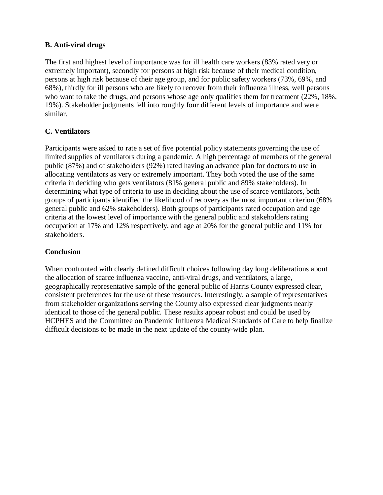# **B. Anti-viral drugs**

The first and highest level of importance was for ill health care workers (83% rated very or extremely important), secondly for persons at high risk because of their medical condition, persons at high risk because of their age group, and for public safety workers (73%, 69%, and 68%), thirdly for ill persons who are likely to recover from their influenza illness, well persons who want to take the drugs, and persons whose age only qualifies them for treatment (22%, 18%, 19%). Stakeholder judgments fell into roughly four different levels of importance and were similar.

# **C. Ventilators**

Participants were asked to rate a set of five potential policy statements governing the use of limited supplies of ventilators during a pandemic. A high percentage of members of the general public (87%) and of stakeholders (92%) rated having an advance plan for doctors to use in allocating ventilators as very or extremely important. They both voted the use of the same criteria in deciding who gets ventilators (81% general public and 89% stakeholders). In determining what type of criteria to use in deciding about the use of scarce ventilators, both groups of participants identified the likelihood of recovery as the most important criterion (68% general public and 62% stakeholders). Both groups of participants rated occupation and age criteria at the lowest level of importance with the general public and stakeholders rating occupation at 17% and 12% respectively, and age at 20% for the general public and 11% for stakeholders.

# **Conclusion**

When confronted with clearly defined difficult choices following day long deliberations about the allocation of scarce influenza vaccine, anti-viral drugs, and ventilators, a large, geographically representative sample of the general public of Harris County expressed clear, consistent preferences for the use of these resources. Interestingly, a sample of representatives from stakeholder organizations serving the County also expressed clear judgments nearly identical to those of the general public. These results appear robust and could be used by HCPHES and the Committee on Pandemic Influenza Medical Standards of Care to help finalize difficult decisions to be made in the next update of the county-wide plan.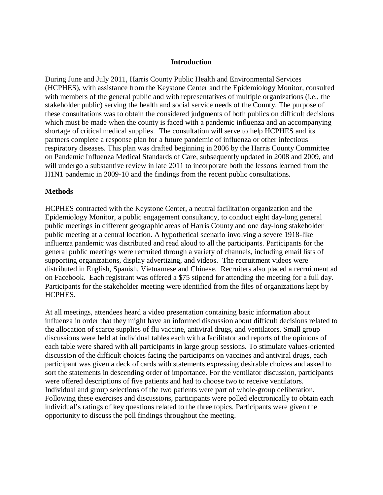#### **Introduction**

During June and July 2011, Harris County Public Health and Environmental Services (HCPHES), with assistance from the Keystone Center and the Epidemiology Monitor, consulted with members of the general public and with representatives of multiple organizations (i.e., the stakeholder public) serving the health and social service needs of the County. The purpose of these consultations was to obtain the considered judgments of both publics on difficult decisions which must be made when the county is faced with a pandemic influenza and an accompanying shortage of critical medical supplies. The consultation will serve to help HCPHES and its partners complete a response plan for a future pandemic of influenza or other infectious respiratory diseases. This plan was drafted beginning in 2006 by the Harris County Committee on Pandemic Influenza Medical Standards of Care, subsequently updated in 2008 and 2009, and will undergo a substantive review in late 2011 to incorporate both the lessons learned from the H1N1 pandemic in 2009-10 and the findings from the recent public consultations.

#### **Methods**

HCPHES contracted with the Keystone Center, a neutral facilitation organization and the Epidemiology Monitor, a public engagement consultancy, to conduct eight day-long general public meetings in different geographic areas of Harris County and one day-long stakeholder public meeting at a central location. A hypothetical scenario involving a severe 1918-like influenza pandemic was distributed and read aloud to all the participants. Participants for the general public meetings were recruited through a variety of channels, including email lists of supporting organizations, display advertizing, and videos. The recruitment videos were distributed in English, Spanish, Vietnamese and Chinese. Recruiters also placed a recruitment ad on Facebook. Each registrant was offered a \$75 stipend for attending the meeting for a full day. Participants for the stakeholder meeting were identified from the files of organizations kept by HCPHES.

At all meetings, attendees heard a video presentation containing basic information about influenza in order that they might have an informed discussion about difficult decisions related to the allocation of scarce supplies of flu vaccine, antiviral drugs, and ventilators. Small group discussions were held at individual tables each with a facilitator and reports of the opinions of each table were shared with all participants in large group sessions. To stimulate values-oriented discussion of the difficult choices facing the participants on vaccines and antiviral drugs, each participant was given a deck of cards with statements expressing desirable choices and asked to sort the statements in descending order of importance. For the ventilator discussion, participants were offered descriptions of five patients and had to choose two to receive ventilators. Individual and group selections of the two patients were part of whole-group deliberation. Following these exercises and discussions, participants were polled electronically to obtain each individual's ratings of key questions related to the three topics. Participants were given the opportunity to discuss the poll findings throughout the meeting.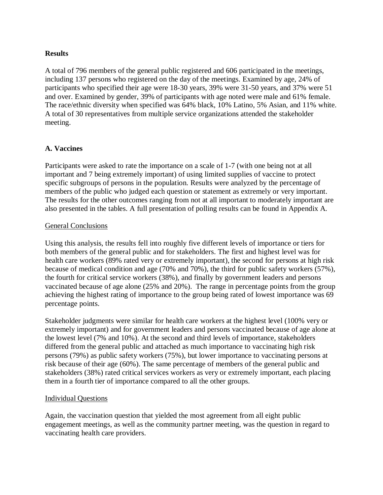#### **Results**

A total of 796 members of the general public registered and 606 participated in the meetings, including 137 persons who registered on the day of the meetings. Examined by age, 24% of participants who specified their age were 18-30 years, 39% were 31-50 years, and 37% were 51 and over. Examined by gender, 39% of participants with age noted were male and 61% female. The race/ethnic diversity when specified was 64% black, 10% Latino, 5% Asian, and 11% white. A total of 30 representatives from multiple service organizations attended the stakeholder meeting.

#### **A. Vaccines**

Participants were asked to rate the importance on a scale of 1-7 (with one being not at all important and 7 being extremely important) of using limited supplies of vaccine to protect specific subgroups of persons in the population. Results were analyzed by the percentage of members of the public who judged each question or statement as extremely or very important. The results for the other outcomes ranging from not at all important to moderately important are also presented in the tables. A full presentation of polling results can be found in Appendix A.

#### General Conclusions

Using this analysis, the results fell into roughly five different levels of importance or tiers for both members of the general public and for stakeholders. The first and highest level was for health care workers (89% rated very or extremely important), the second for persons at high risk because of medical condition and age (70% and 70%), the third for public safety workers (57%), the fourth for critical service workers (38%), and finally by government leaders and persons vaccinated because of age alone (25% and 20%). The range in percentage points from the group achieving the highest rating of importance to the group being rated of lowest importance was 69 percentage points.

Stakeholder judgments were similar for health care workers at the highest level (100% very or extremely important) and for government leaders and persons vaccinated because of age alone at the lowest level (7% and 10%). At the second and third levels of importance, stakeholders differed from the general public and attached as much importance to vaccinating high risk persons (79%) as public safety workers (75%), but lower importance to vaccinating persons at risk because of their age (60%). The same percentage of members of the general public and stakeholders (38%) rated critical services workers as very or extremely important, each placing them in a fourth tier of importance compared to all the other groups.

#### Individual Questions

Again, the vaccination question that yielded the most agreement from all eight public engagement meetings, as well as the community partner meeting, was the question in regard to vaccinating health care providers.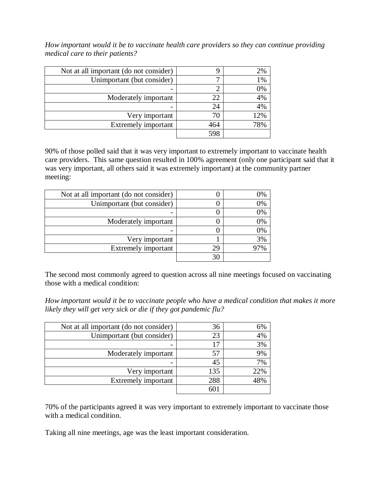*How important would it be to vaccinate health care providers so they can continue providing medical care to their patients?*

| Not at all important (do not consider) |     | 2%    |
|----------------------------------------|-----|-------|
| Unimportant (but consider)             |     | $1\%$ |
|                                        |     | 0%    |
| Moderately important                   | 22  | 4%    |
|                                        | 24  | 4%    |
| Very important                         |     | 12%   |
| <b>Extremely important</b>             | 464 | 78%   |
|                                        | 598 |       |

90% of those polled said that it was very important to extremely important to vaccinate health care providers. This same question resulted in 100% agreement (only one participant said that it was very important, all others said it was extremely important) at the community partner meeting:

| 0% |
|----|
| 0% |
| 0% |
| 0% |
| 0% |
| 3% |
| 7% |
|    |
|    |

The second most commonly agreed to question across all nine meetings focused on vaccinating those with a medical condition:

*How important would it be to vaccinate people who have a medical condition that makes it more likely they will get very sick or die if they got pandemic flu?*

| Not at all important (do not consider) | 36  | 6%  |
|----------------------------------------|-----|-----|
| Unimportant (but consider)             | 23  | 4%  |
|                                        |     | 3%  |
| Moderately important                   | 57  | 9%  |
|                                        | 45  | 7%  |
| Very important                         | 135 | 22% |
| <b>Extremely important</b>             | 288 |     |
|                                        |     |     |

70% of the participants agreed it was very important to extremely important to vaccinate those with a medical condition.

Taking all nine meetings, age was the least important consideration.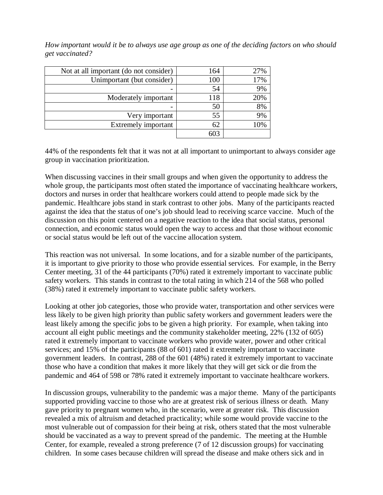*How important would it be to always use age group as one of the deciding factors on who should get vaccinated?*

| Not at all important (do not consider) | 164 | 27% |
|----------------------------------------|-----|-----|
| Unimportant (but consider)             | 100 | 17% |
|                                        | 54  | 9%  |
| Moderately important                   | 118 | 20% |
|                                        | 50  | 8%  |
| Very important                         | 55  | 9%  |
| <b>Extremely important</b>             | 62  | 10% |
|                                        | 603 |     |

44% of the respondents felt that it was not at all important to unimportant to always consider age group in vaccination prioritization.

When discussing vaccines in their small groups and when given the opportunity to address the whole group, the participants most often stated the importance of vaccinating healthcare workers, doctors and nurses in order that healthcare workers could attend to people made sick by the pandemic. Healthcare jobs stand in stark contrast to other jobs. Many of the participants reacted against the idea that the status of one's job should lead to receiving scarce vaccine. Much of the discussion on this point centered on a negative reaction to the idea that social status, personal connection, and economic status would open the way to access and that those without economic or social status would be left out of the vaccine allocation system.

This reaction was not universal. In some locations, and for a sizable number of the participants, it is important to give priority to those who provide essential services. For example, in the Berry Center meeting, 31 of the 44 participants (70%) rated it extremely important to vaccinate public safety workers. This stands in contrast to the total rating in which 214 of the 568 who polled (38%) rated it extremely important to vaccinate public safety workers.

Looking at other job categories, those who provide water, transportation and other services were less likely to be given high priority than public safety workers and government leaders were the least likely among the specific jobs to be given a high priority. For example, when taking into account all eight public meetings and the community stakeholder meeting, 22% (132 of 605) rated it extremely important to vaccinate workers who provide water, power and other critical services; and 15% of the participants (88 of 601) rated it extremely important to vaccinate government leaders. In contrast, 288 of the 601 (48%) rated it extremely important to vaccinate those who have a condition that makes it more likely that they will get sick or die from the pandemic and 464 of 598 or 78% rated it extremely important to vaccinate healthcare workers.

In discussion groups, vulnerability to the pandemic was a major theme. Many of the participants supported providing vaccine to those who are at greatest risk of serious illness or death. Many gave priority to pregnant women who, in the scenario, were at greater risk. This discussion revealed a mix of altruism and detached practicality; while some would provide vaccine to the most vulnerable out of compassion for their being at risk, others stated that the most vulnerable should be vaccinated as a way to prevent spread of the pandemic. The meeting at the Humble Center, for example, revealed a strong preference (7 of 12 discussion groups) for vaccinating children. In some cases because children will spread the disease and make others sick and in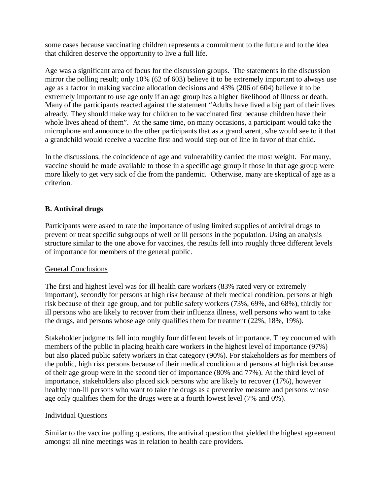some cases because vaccinating children represents a commitment to the future and to the idea that children deserve the opportunity to live a full life.

Age was a significant area of focus for the discussion groups. The statements in the discussion mirror the polling result; only 10% (62 of 603) believe it to be extremely important to always use age as a factor in making vaccine allocation decisions and 43% (206 of 604) believe it to be extremely important to use age only if an age group has a higher likelihood of illness or death. Many of the participants reacted against the statement "Adults have lived a big part of their lives already. They should make way for children to be vaccinated first because children have their whole lives ahead of them". At the same time, on many occasions, a participant would take the microphone and announce to the other participants that as a grandparent, s/he would see to it that a grandchild would receive a vaccine first and would step out of line in favor of that child.

In the discussions, the coincidence of age and vulnerability carried the most weight. For many, vaccine should be made available to those in a specific age group if those in that age group were more likely to get very sick of die from the pandemic. Otherwise, many are skeptical of age as a criterion.

# **B. Antiviral drugs**

Participants were asked to rate the importance of using limited supplies of antiviral drugs to prevent or treat specific subgroups of well or ill persons in the population. Using an analysis structure similar to the one above for vaccines, the results fell into roughly three different levels of importance for members of the general public.

#### General Conclusions

The first and highest level was for ill health care workers (83% rated very or extremely important), secondly for persons at high risk because of their medical condition, persons at high risk because of their age group, and for public safety workers (73%, 69%, and 68%), thirdly for ill persons who are likely to recover from their influenza illness, well persons who want to take the drugs, and persons whose age only qualifies them for treatment (22%, 18%, 19%).

Stakeholder judgments fell into roughly four different levels of importance. They concurred with members of the public in placing health care workers in the highest level of importance (97%) but also placed public safety workers in that category (90%). For stakeholders as for members of the public, high risk persons because of their medical condition and persons at high risk because of their age group were in the second tier of importance (80% and 77%). At the third level of importance, stakeholders also placed sick persons who are likely to recover (17%), however healthy non-ill persons who want to take the drugs as a preventive measure and persons whose age only qualifies them for the drugs were at a fourth lowest level (7% and 0%).

#### Individual Questions

Similar to the vaccine polling questions, the antiviral question that yielded the highest agreement amongst all nine meetings was in relation to health care providers.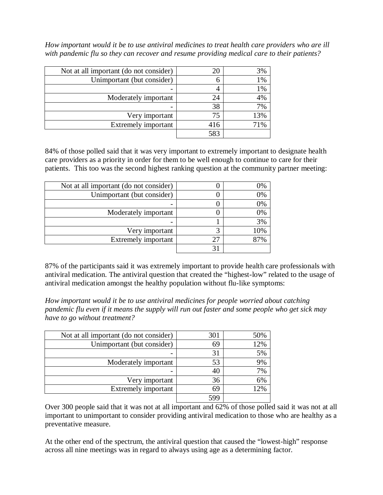*How important would it be to use antiviral medicines to treat health care providers who are ill with pandemic flu so they can recover and resume providing medical care to their patients?*

| Not at all important (do not consider) | 20  | 3%    |
|----------------------------------------|-----|-------|
| Unimportant (but consider)             |     | $1\%$ |
|                                        |     | $1\%$ |
| Moderately important                   | 24  | 4%    |
|                                        | 38  | 7%    |
| Very important                         | 75  | 13%   |
| <b>Extremely important</b>             | 416 | 71%   |
|                                        | 583 |       |

84% of those polled said that it was very important to extremely important to designate health care providers as a priority in order for them to be well enough to continue to care for their patients. This too was the second highest ranking question at the community partner meeting:

| Not at all important (do not consider) | 0%  |
|----------------------------------------|-----|
| Unimportant (but consider)             | 0%  |
|                                        | 0%  |
| Moderately important                   | 0%  |
|                                        | 3%  |
| Very important                         | 10% |
| Extremely important                    | የ7% |
|                                        |     |

87% of the participants said it was extremely important to provide health care professionals with antiviral medication. The antiviral question that created the "highest-low" related to the usage of antiviral medication amongst the healthy population without flu-like symptoms:

*How important would it be to use antiviral medicines for people worried about catching pandemic flu even if it means the supply will run out faster and some people who get sick may have to go without treatment?*

| Not at all important (do not consider) | 301 | 50% |
|----------------------------------------|-----|-----|
| Unimportant (but consider)             | 69  | 12% |
|                                        | 31  | 5%  |
| Moderately important                   | 53  | 9%  |
|                                        | 40  | 7%  |
| Very important                         | 36  | 6%  |
| Extremely important                    | 69  | 12% |
|                                        | 594 |     |

Over 300 people said that it was not at all important and 62% of those polled said it was not at all important to unimportant to consider providing antiviral medication to those who are healthy as a preventative measure.

At the other end of the spectrum, the antiviral question that caused the "lowest-high" response across all nine meetings was in regard to always using age as a determining factor.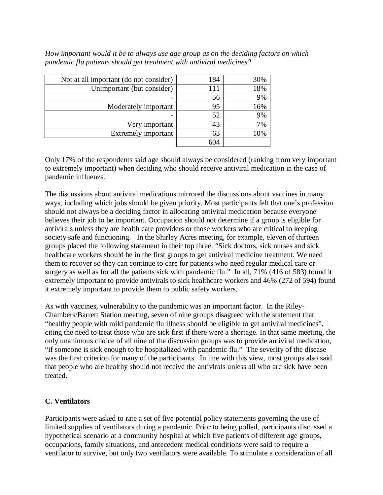*How important would it be to always use age group as on the deciding factors on which pandemic flu patients should get treatment with antiviral medicines?*

| Not at all important (do not consider) | 184 | 30% |
|----------------------------------------|-----|-----|
| Unimportant (but consider)             | 111 | 18% |
| -                                      | 56  | 9%  |
| Moderately important                   | 95  | 16% |
|                                        | 52  | 9%  |
| Very important                         | 43  | 7%  |
| Extremely important                    | 63  | .0% |
|                                        | 604 |     |

Only 17% of the respondents said age should always be considered (ranking from very important to extremely important) when deciding who should receive antiviral medication in the case of pandemic influenza.

The discussions about antiviral medications mirrored the discussions about vaccines in many ways, including which jobs should be given priority. Most participants felt that one's profession should not always be a deciding factor in allocating antiviral medication because everyone believes their job to be important. Occupation should not determine if a group is eligible for antivirals unless they are health care providers or those workers who are critical to keeping society safe and functioning. In the Shirley Acres meeting, for example, eleven of thirteen groups placed the following statement in their top three: "Sick doctors, sick nurses and sick healthcare workers should be in the first groups to get antiviral medicine treatment. We need them to recover so they can continue to care for patients who need regular medical care or surgery as well as for all the patients sick with pandemic flu." In all, 71% (416 of 583) found it extremely important to provide antivirals to sick healthcare workers and 46% (272 of 594) found it extremely important to provide them to public safety workers.

As with vaccines, vulnerability to the pandemic was an important factor. In the Riley-Chambers/Barrett Station meeting, seven of nine groups disagreed with the statement that "healthy people with mild pandemic flu illness should be eligible to get antiviral medicines", citing the need to treat those who are sick first if there were a shortage. In that same meeting, the only unanimous choice of all nine of the discussion groups was to provide antiviral medication, "if someone is sick enough to be hospitalized with pandemic flu." The severity of the disease was the first criterion for many of the participants. In line with this view, most groups also said that people who are healthy should not receive the antivirals unless all who are sick have been treated.

# **C. Ventilators**

Participants were asked to rate a set of five potential policy statements governing the use of limited supplies of ventilators during a pandemic. Prior to being polled, participants discussed a hypothetical scenario at a community hospital at which five patients of different age groups, occupations, family situations, and antecedent medical conditions were said to require a ventilator to survive, but only two ventilators were available. To stimulate a consideration of all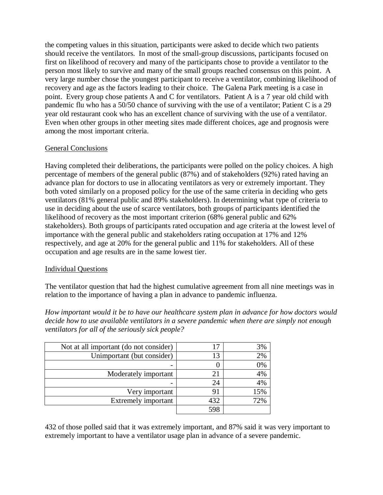the competing values in this situation, participants were asked to decide which two patients should receive the ventilators. In most of the small-group discussions, participants focused on first on likelihood of recovery and many of the participants chose to provide a ventilator to the person most likely to survive and many of the small groups reached consensus on this point. A very large number chose the youngest participant to receive a ventilator, combining likelihood of recovery and age as the factors leading to their choice. The Galena Park meeting is a case in point. Every group chose patients A and C for ventilators. Patient A is a 7 year old child with pandemic flu who has a 50/50 chance of surviving with the use of a ventilator; Patient C is a 29 year old restaurant cook who has an excellent chance of surviving with the use of a ventilator. Even when other groups in other meeting sites made different choices, age and prognosis were among the most important criteria.

#### General Conclusions

Having completed their deliberations, the participants were polled on the policy choices. A high percentage of members of the general public (87%) and of stakeholders (92%) rated having an advance plan for doctors to use in allocating ventilators as very or extremely important. They both voted similarly on a proposed policy for the use of the same criteria in deciding who gets ventilators (81% general public and 89% stakeholders). In determining what type of criteria to use in deciding about the use of scarce ventilators, both groups of participants identified the likelihood of recovery as the most important criterion (68% general public and 62% stakeholders). Both groups of participants rated occupation and age criteria at the lowest level of importance with the general public and stakeholders rating occupation at 17% and 12% respectively, and age at 20% for the general public and 11% for stakeholders. All of these occupation and age results are in the same lowest tier.

# Individual Questions

The ventilator question that had the highest cumulative agreement from all nine meetings was in relation to the importance of having a plan in advance to pandemic influenza.

*How important would it be to have our healthcare system plan in advance for how doctors would decide how to use available ventilators in a severe pandemic when there are simply not enough ventilators for all of the seriously sick people?*

| Not at all important (do not consider) |             | 3%  |
|----------------------------------------|-------------|-----|
| Unimportant (but consider)             |             | 2%  |
|                                        |             | 0%  |
| Moderately important                   | $2^{\cdot}$ | 4%  |
|                                        | 24          | 4%  |
| Very important                         | 91          | 15% |
| <b>Extremely important</b>             | 432         | 72% |
|                                        | 598         |     |

432 of those polled said that it was extremely important, and 87% said it was very important to extremely important to have a ventilator usage plan in advance of a severe pandemic.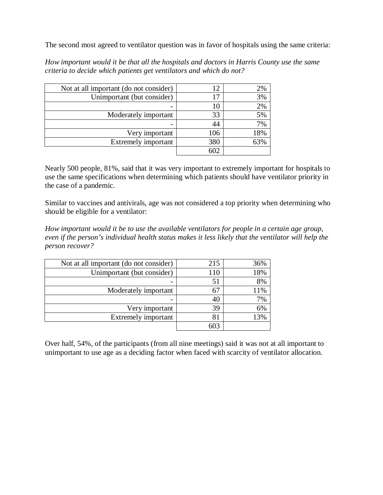The second most agreed to ventilator question was in favor of hospitals using the same criteria:

| Not at all important (do not consider) |     | 2%  |
|----------------------------------------|-----|-----|
| Unimportant (but consider)             |     | 3%  |
|                                        |     | 2%  |
| Moderately important                   | 33  | 5%  |
|                                        | 44  | 7%  |
| Very important                         | 106 | 18% |
| Extremely important                    | 380 | 63% |
|                                        | 602 |     |

*How important would it be that all the hospitals and doctors in Harris County use the same criteria to decide which patients get ventilators and which do not?*

Nearly 500 people, 81%, said that it was very important to extremely important for hospitals to use the same specifications when determining which patients should have ventilator priority in the case of a pandemic.

Similar to vaccines and antivirals, age was not considered a top priority when determining who should be eligible for a ventilator:

*How important would it be to use the available ventilators for people in a certain age group, even if the person's individual health status makes it less likely that the ventilator will help the person recover?*

| Not at all important (do not consider) | 215 | 36% |
|----------------------------------------|-----|-----|
| Unimportant (but consider)             | 110 | 18% |
|                                        | 51  | 8%  |
| Moderately important                   | 61  | 11% |
|                                        | 40  | 7%  |
| Very important                         | 39  | 6%  |
| Extremely important                    | 81  | 13% |
|                                        |     |     |

Over half, 54%, of the participants (from all nine meetings) said it was not at all important to unimportant to use age as a deciding factor when faced with scarcity of ventilator allocation.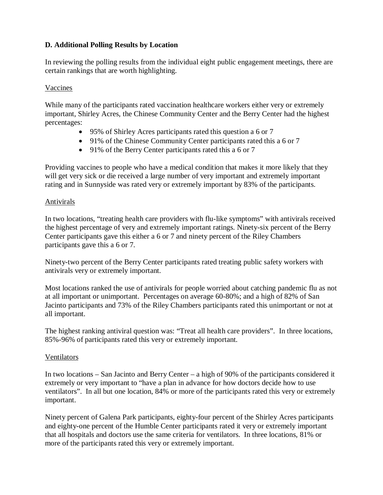# **D. Additional Polling Results by Location**

In reviewing the polling results from the individual eight public engagement meetings, there are certain rankings that are worth highlighting.

#### Vaccines

While many of the participants rated vaccination healthcare workers either very or extremely important, Shirley Acres, the Chinese Community Center and the Berry Center had the highest percentages:

- 95% of Shirley Acres participants rated this question a 6 or 7
- 91% of the Chinese Community Center participants rated this a 6 or 7
- 91% of the Berry Center participants rated this a 6 or 7

Providing vaccines to people who have a medical condition that makes it more likely that they will get very sick or die received a large number of very important and extremely important rating and in Sunnyside was rated very or extremely important by 83% of the participants.

#### Antivirals

In two locations, "treating health care providers with flu-like symptoms" with antivirals received the highest percentage of very and extremely important ratings. Ninety-six percent of the Berry Center participants gave this either a 6 or 7 and ninety percent of the Riley Chambers participants gave this a 6 or 7.

Ninety-two percent of the Berry Center participants rated treating public safety workers with antivirals very or extremely important.

Most locations ranked the use of antivirals for people worried about catching pandemic flu as not at all important or unimportant. Percentages on average 60-80%; and a high of 82% of San Jacinto participants and 73% of the Riley Chambers participants rated this unimportant or not at all important.

The highest ranking antiviral question was: "Treat all health care providers". In three locations, 85%-96% of participants rated this very or extremely important.

#### **Ventilators**

In two locations – San Jacinto and Berry Center – a high of 90% of the participants considered it extremely or very important to "have a plan in advance for how doctors decide how to use ventilators". In all but one location, 84% or more of the participants rated this very or extremely important.

Ninety percent of Galena Park participants, eighty-four percent of the Shirley Acres participants and eighty-one percent of the Humble Center participants rated it very or extremely important that all hospitals and doctors use the same criteria for ventilators. In three locations, 81% or more of the participants rated this very or extremely important.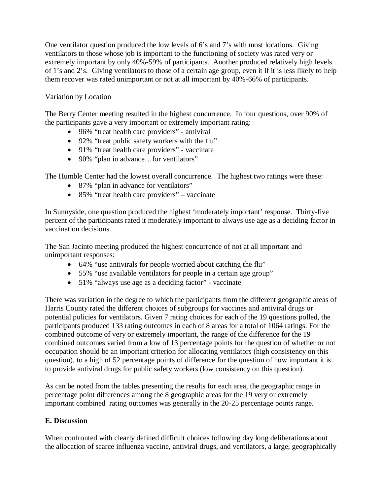One ventilator question produced the low levels of 6's and 7's with most locations. Giving ventilators to those whose job is important to the functioning of society was rated very or extremely important by only 40%-59% of participants. Another produced relatively high levels of 1's and 2's. Giving ventilators to those of a certain age group, even it if it is less likely to help them recover was rated unimportant or not at all important by 40%-66% of participants.

# Variation by Location

The Berry Center meeting resulted in the highest concurrence. In four questions, over 90% of the participants gave a very important or extremely important rating:

- 96% "treat health care providers" antiviral
- 92% "treat public safety workers with the flu"
- 91% "treat health care providers" vaccinate
- 90% "plan in advance...for ventilators"

The Humble Center had the lowest overall concurrence. The highest two ratings were these:

- 87% "plan in advance for ventilators"
- 85% "treat health care providers" vaccinate

In Sunnyside, one question produced the highest 'moderately important' response. Thirty-five percent of the participants rated it moderately important to always use age as a deciding factor in vaccination decisions.

The San Jacinto meeting produced the highest concurrence of not at all important and unimportant responses:

- 64% "use antivirals for people worried about catching the flu"
- 55% "use available ventilators for people in a certain age group"
- 51% "always use age as a deciding factor" vaccinate

There was variation in the degree to which the participants from the different geographic areas of Harris County rated the different choices of subgroups for vaccines and antiviral drugs or potential policies for ventilators. Given 7 rating choices for each of the 19 questions polled, the participants produced 133 rating outcomes in each of 8 areas for a total of 1064 ratings. For the combined outcome of very or extremely important, the range of the difference for the 19 combined outcomes varied from a low of 13 percentage points for the question of whether or not occupation should be an important criterion for allocating ventilators (high consistency on this question), to a high of 52 percentage points of difference for the question of how important it is to provide antiviral drugs for public safety workers (low consistency on this question).

As can be noted from the tables presenting the results for each area, the geographic range in percentage point differences among the 8 geographic areas for the 19 very or extremely important combined rating outcomes was generally in the 20-25 percentage points range.

# **E. Discussion**

When confronted with clearly defined difficult choices following day long deliberations about the allocation of scarce influenza vaccine, antiviral drugs, and ventilators, a large, geographically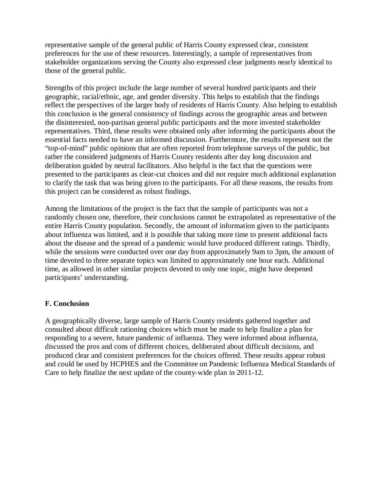representative sample of the general public of Harris County expressed clear, consistent preferences for the use of these resources. Interestingly, a sample of representatives from stakeholder organizations serving the County also expressed clear judgments nearly identical to those of the general public.

Strengths of this project include the large number of several hundred participants and their geographic, racial/ethnic, age, and gender diversity. This helps to establish that the findings reflect the perspectives of the larger body of residents of Harris County. Also helping to establish this conclusion is the general consistency of findings across the geographic areas and between the disinterested, non-partisan general public participants and the more invested stakeholder representatives. Third, these results were obtained only after informing the participants about the essential facts needed to have an informed discussion. Furthermore, the results represent not the "top-of-mind" public opinions that are often reported from telephone surveys of the public, but rather the considered judgments of Harris County residents after day long discussion and deliberation guided by neutral facilitators. Also helpful is the fact that the questions were presented to the participants as clear-cut choices and did not require much additional explanation to clarify the task that was being given to the participants. For all these reasons, the results from this project can be considered as robust findings.

Among the limitations of the project is the fact that the sample of participants was not a randomly chosen one, therefore, their conclusions cannot be extrapolated as representative of the entire Harris County population. Secondly, the amount of information given to the participants about influenza was limited, and it is possible that taking more time to present additional facts about the disease and the spread of a pandemic would have produced different ratings. Thirdly, while the sessions were conducted over one day from approximately 9am to 3pm, the amount of time devoted to three separate topics was limited to approximately one hour each. Additional time, as allowed in other similar projects devoted to only one topic, might have deepened participants' understanding.

# **F. Conclusion**

A geographically diverse, large sample of Harris County residents gathered together and consulted about difficult rationing choices which must be made to help finalize a plan for responding to a severe, future pandemic of influenza. They were informed about influenza, discussed the pros and cons of different choices, deliberated about difficult decisions, and produced clear and consistent preferences for the choices offered. These results appear robust and could be used by HCPHES and the Committee on Pandemic Influenza Medical Standards of Care to help finalize the next update of the county-wide plan in 2011-12.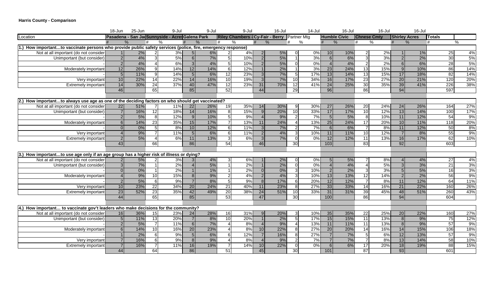#### **Harris County - Comparison**

|                                                                                                             | 18-Jun | 25-Jun        |                | 9-Jul                                           |                 | 9-Jul         |                 | 9-Jul                                               |                 | 16-Jul |                 | $14 -$ Jul |                | 16-Jul              |                    | $16 -$ Jul |                      | 16-Jul |                 |     |
|-------------------------------------------------------------------------------------------------------------|--------|---------------|----------------|-------------------------------------------------|-----------------|---------------|-----------------|-----------------------------------------------------|-----------------|--------|-----------------|------------|----------------|---------------------|--------------------|------------|----------------------|--------|-----------------|-----|
| Location                                                                                                    |        |               |                | Pasadena - San JacSunnyside - Acres Galena Park |                 |               |                 | <b>Riley Chambers - Cy-Fair - Berry Partner Mtg</b> |                 |        |                 |            |                | <b>Humble Civic</b> | <b>Chnese Cmty</b> |            | <b>Shirley Acres</b> |        | <b>Totals</b>   |     |
|                                                                                                             |        | $\frac{0}{6}$ | $\%$<br>#      |                                                 |                 | $\frac{9}{6}$ | #               | $\%$                                                |                 | $\%$   | #               | %          |                | $\%$                | $\%$<br>#          |            | #<br>$\%$            |        | #               | %   |
| 1.) How importantto vaccinate persons who provide public safety services (police, fire, emergency response) |        |               |                |                                                 |                 |               |                 |                                                     |                 |        |                 |            |                |                     |                    |            |                      |        |                 |     |
| Not at all important (do not consider                                                                       |        | 2%            |                | 3%                                              |                 | 6%            |                 | 4%                                                  | $\overline{2}$  | 5%     |                 | $0\%$      | 10             | 10%                 | っ                  | $2\%$      |                      | $1\%$  | 25              | 4%  |
| Unimportant (but consider)                                                                                  |        | 4%            |                | 5%                                              | 6               | 7%            |                 | 10%                                                 | 2 <sup>1</sup>  | 5%     |                 | 3%         | 6 <sup>1</sup> | 6%                  |                    | 3%         |                      | 2%     | 30              | 5%  |
|                                                                                                             |        | 4%            | $\overline{4}$ | 6%                                              | $\overline{3}$  | 4%            | 5 <sub>5</sub>  | 10%                                                 | 2 <sup>1</sup>  | 5%     | $\Omega$        | 0%         | $\Delta$       | 4%                  | $\mathfrak{p}$     | 2%         | $6 \mid$             | 6%     | 28              | 5%  |
| Moderately important                                                                                        | 12     | 26%           | -91            | 14%                                             | 12              | 14%           | $6 \mid$        | 12%                                                 |                 | 2%     |                 | 3%         | 23             | 24%                 | 13                 | 15%        | 9 <sup>1</sup>       | 10%    | 86              | 14% |
|                                                                                                             |        | 11%           | 9              | 14%                                             | $5\overline{)}$ | 6%            | 12              | 23%                                                 | 3 <sup>l</sup>  | 7%     | 5               | 17%        | 13             | 14%                 | 13                 | 15%        | 17                   | 18%    | 82              | 14% |
| Verv important                                                                                              | 10     | 22%           | 14             | 22%                                             | 14              | 16%           | 10              | 19%                                                 | $\overline{3}$  | 7%     | 10              | 34%        | 16             | 17%                 | 23                 | 27%        | 20                   | 21%    | 120             | 20% |
| Extremely important                                                                                         | 14     | 30%           | 24             | 37%                                             | 40              | 47%           | 12              | 23%                                                 | 31              | 70%    | 12              | 41%        | 24             | 25%                 | 30                 | 35%        | 39                   | 41%    | 226             | 38% |
|                                                                                                             | 46     |               | 65             |                                                 | 85              |               | 52              |                                                     | 44              |        | 29              |            | 96             |                     | 86                 |            | 94                   |        | 597             |     |
|                                                                                                             |        |               |                |                                                 |                 |               |                 |                                                     |                 |        |                 |            |                |                     |                    |            |                      |        |                 |     |
| 2.) How importantto always use age as one of the deciding factors on who should get vaccinated?             |        |               |                |                                                 |                 |               |                 |                                                     |                 |        |                 |            |                |                     |                    |            |                      |        |                 |     |
| Not at all important (do not consider                                                                       | 22     | 51%           |                | 11%                                             | 22              | 26%           | 19              | 35%                                                 | 14              | 30%    | 9               | 30%        | 27             | 26%                 | 20                 | 24%        | 24                   | 26%    | 164             | 27% |
| Unimportant (but consider)                                                                                  |        | 16%           | 12             | 18%                                             | 14              | 16%           | 8               | 15%                                                 | 9 <sup>1</sup>  | 20%    | 10              | 33%        | 17             | 17%                 | 10                 | 12%        | 13                   | 14%    | 100             | 17% |
|                                                                                                             |        | 5%            | 8              | 12%                                             | 9               | 10%           | 5               | 9%                                                  | 4 <sup>1</sup>  | 9%     | $\overline{2}$  | 7%         | 5              | 5%                  | $\overline{8}$     | 10%        | 11                   | 12%    | 54              | 9%  |
| Moderately important                                                                                        |        | 14%           | 23             | 35%                                             | 15              | 17%           | $\overline{7}$  | 13%                                                 | 11              | 24%    |                 | 13%        | 25             | 24%                 | 17                 | 20%        | 10                   | 11%    | 118             | 20% |
|                                                                                                             |        | 0%            | 5 <sup>1</sup> | 8%                                              | 10              | 12%           | $6 \mid$        | 11%                                                 | 3 <sup>l</sup>  | 7%     | 2               | 7%         | $6 \mid$       | 6%                  |                    | 8%         | 11                   | 12%    | 50              | 8%  |
| Very important                                                                                              |        | 9%            | $\overline{7}$ | 11%                                             | -5              | 6%            | 6               | 11%                                                 | $\overline{2}$  | 4%     | $\mathbf{3}$    | 10%        | 11             | 11%                 | 10                 | 12%        |                      | 8%     | 55              | 9%  |
| <b>Extremely important</b>                                                                                  |        | 5%            | $\overline{4}$ | 6%                                              | 11              | 13%           | $\overline{3}$  | 6%                                                  | 3 <sup>1</sup>  | 7%     | $\Omega$        | 0%         | 12             | 12%                 | 11                 | 13%        | 16                   | 17%    | 62              | 10% |
|                                                                                                             | 43     |               | 66             |                                                 | 86              |               | 54              |                                                     | 46              |        | 30              |            | 103            |                     | 83                 |            | 92                   |        | 603             |     |
|                                                                                                             |        |               |                |                                                 |                 |               |                 |                                                     |                 |        |                 |            |                |                     |                    |            |                      |        |                 |     |
| 3.) How importantto use age only if an age group has a higher risk of illness or dying?                     |        |               |                |                                                 |                 |               |                 |                                                     |                 |        |                 |            |                |                     |                    |            |                      |        |                 |     |
| Not at all important (do not consider                                                                       |        | 5%            | $\mathcal{P}$  | 3%                                              |                 | 4%            | 3               | 6%                                                  |                 | 2%     | $\Omega$        | 0%         | 5 <sup>1</sup> | 5%                  |                    | 8%         |                      | 4%     | 27              | 4%  |
| Unimportant (but consider)                                                                                  |        | 7%            |                | 2%                                              | $\overline{4}$  | 5%            |                 | 2%                                                  | 1 <sup>1</sup>  | 2%     | $\Omega$        | 0%         | $\overline{4}$ | 4%                  | Δ                  | 5%         |                      | 3%     | $\overline{21}$ | 3%  |
|                                                                                                             |        | 0%            |                | 2%                                              |                 | 1%            |                 | 2%                                                  | $\Omega$        | 0%     | 3 <sup>1</sup>  | 10%        | 2 <sub>l</sub> | 2%                  | зI                 | 3%         |                      | 5%     | 16              | 3%  |
| Moderately important                                                                                        |        | 9%            | 10             | 15%                                             | 8 <sup>1</sup>  | 9%            | $\mathcal{P}$   | 4%                                                  | 2 <sup>1</sup>  | 4%     | $\overline{3}$  | 10%        | 13             | 13%                 | 12                 | 14%        |                      | 2%     | 56              | 9%  |
|                                                                                                             |        | 5%            | 6              | 9%                                              | $\overline{7}$  | 8%            | 5 <sub>5</sub>  | 9%                                                  | 8 <sup>1</sup>  | 17%    | $6 \mid$        | 20%        | 12             | 12%                 |                    | 8%         | 11                   | 12%    | 64              | 11% |
| Verv important                                                                                              | 10     | 23%           | 22             | 34%                                             | 20              | 24%           | $\overline{21}$ | 40%                                                 | 11              | 23%    | 8               | 27%        | 33             | 33%                 | 14                 | 16%        | 21                   | 22%    | 160             | 26% |
| Extremely important                                                                                         | 23     | 52%           | 23             | 35%                                             | 42              | 49%           | 20              | 38%                                                 | 24              | 51%    | 10              | 33%        | 31             | 31%                 | 39                 | 45%        | 48                   | 51%    | 260             | 43% |
|                                                                                                             | 44     |               | 65             |                                                 | 85              |               | 53              |                                                     | 47              |        | 30 <sup>l</sup> |            | 100            |                     | 86                 |            | 94                   |        | 604             |     |
|                                                                                                             |        |               |                |                                                 |                 |               |                 |                                                     |                 |        |                 |            |                |                     |                    |            |                      |        |                 |     |
| 4.) How important to vaccinate gov't leaders who make decisions for the community?                          |        |               |                |                                                 |                 |               |                 |                                                     |                 |        |                 |            |                |                     |                    |            |                      |        |                 |     |
| Not at all important (do not consider                                                                       | 16     | 36%           | 15             | 23%                                             | 24              | 28%           | 16              | 31%                                                 | 9 <sub>l</sub>  | 20%    | 3               | 10%        | 35             | 35%                 | 22                 | 25%        | 20                   | 22%    | 160             | 27% |
| Unimportant (but consider)                                                                                  |        | 11%           | 13             | 20%                                             | $\overline{7}$  | 8%            | 10              | 20%                                                 | 1 <sup>1</sup>  | 2%     | 5 <sub>l</sub>  | 17%        | 15             | 15%                 | $\overline{11}$    | 13%        | 8 <sup>1</sup>       | 9%     | 75              | 12% |
|                                                                                                             |        | 5%            | $\overline{7}$ | 11%                                             | 6               | 7%            | Δ               | 8%                                                  | 4 <sup>1</sup>  | 9%     | $\overline{a}$  | 13%        | 11             | 11%                 | $\overline{11}$    | 13%        | -8 I                 | 9%     | 57              | 9%  |
| Moderately important                                                                                        |        | 14%           | 10             | 16%                                             | 20              | 23%           |                 | 8%                                                  | 10 <sup>1</sup> | 22%    | 8               | 27%        | 20             | 20%                 | $\overline{14}$    | 16%        | 14                   | 15%    | 106             | 18% |
|                                                                                                             |        | 2%            | <sup>6</sup>   | 9%                                              | 5 <sub>5</sub>  | 6%            | 6 <sup>1</sup>  | 12%                                                 |                 | 16%    | 8 <sup>1</sup>  | 27%        | 7 <sup>1</sup> | 7%                  | 5 <sup>1</sup>     | 6%         | 12                   | 13%    | 57              | 9%  |
| Very important                                                                                              |        | 16%           | 6              | 9%                                              | 8 <sup>1</sup>  | 9%            |                 | 8%                                                  | 4 <sup>1</sup>  | 9%     |                 | 7%         |                | 7%                  |                    | 8%         | 13                   | 14%    | 58              | 10% |
| <b>Extremely important</b>                                                                                  |        | 16%           | $\overline{7}$ | 11%                                             | 16              | 19%           |                 | 14%                                                 | 10              | 22%    | $\Omega$        | 0%         | $6 \mid$       | 6%                  | 17                 | 20%        | $\overline{18}$      | 19%    | 88              | 15% |
|                                                                                                             | 44     |               | 64             |                                                 | 86              |               | 51              |                                                     | 45              |        | 30              |            | 101            |                     | $\overline{87}$    |            | 93                   |        | 601             |     |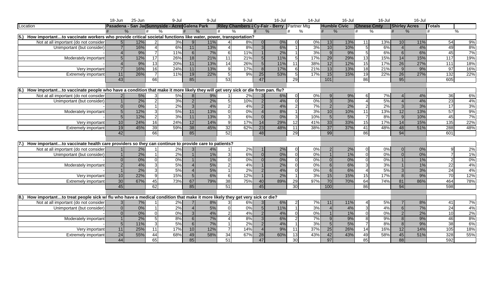|                                                                                                                                              | 18-Jun         | 25-Jun        |                      | 9-Jul                                           |                | 9-Jul         |                | 9-Jul                                        |                | $16 -$ Jul |                 | $14$ -Jul |                 | 16-Jul              |                    | 16-Jul |                          | 16-Jul               |                 |     |
|----------------------------------------------------------------------------------------------------------------------------------------------|----------------|---------------|----------------------|-------------------------------------------------|----------------|---------------|----------------|----------------------------------------------|----------------|------------|-----------------|-----------|-----------------|---------------------|--------------------|--------|--------------------------|----------------------|-----------------|-----|
| Location                                                                                                                                     |                |               |                      | Pasadena - San Ja Sunnyside - Acres Galena Park |                |               |                | Riley Chambers - Cy-Fair - Berry Partner Mtg |                |            |                 |           |                 | <b>Humble Civic</b> | <b>Chnese Cmty</b> |        |                          | <b>Shirley Acres</b> | <b>I</b> Totals |     |
|                                                                                                                                              |                | $\frac{0}{6}$ |                      | $\frac{0}{0}$                                   |                | $\frac{0}{6}$ | #              | $\frac{0}{0}$                                |                | $\%$       | #               | %         |                 | $\%$                | %<br>#             |        | #                        | $\%$                 | #               | %   |
| 5.)<br>How importantto vaccinate workers who provide critical societal functions like water, power, transportation?                          |                |               |                      |                                                 |                |               |                |                                              |                |            |                 |           |                 |                     |                    |        |                          |                      |                 |     |
| Not at all important (do not consider                                                                                                        | 5 <sup>1</sup> | 12%           | 2                    | 3%                                              | $\overline{9}$ | 11%           |                | $8\%$                                        | $\Omega$       | $0\%$      |                 | 0%        | 13              | 13%                 | 11                 | 13%    | 10                       | 11%                  | 54              | 9%  |
| Unimportant (but consider)                                                                                                                   |                | 16%           |                      | 6%                                              | 11             | 13%           |                | 8%                                           | 3 <sup>l</sup> | 6%         |                 | 3%        | 10              | 10%                 | .5I                | 6%     | $\boldsymbol{\varDelta}$ | 4%                   | 49              | 8%  |
|                                                                                                                                              |                | 9%            | $\overline{7}$       | 11%                                             | $6 \mid$       | 7%            | 6              | 11%                                          |                | 2%         | $\overline{1}$  | 3%        | $\overline{9}$  | 9%                  | 5 <sup>1</sup>     | 6%     | 6                        | 6%                   | 45              | 7%  |
| Moderately important                                                                                                                         |                | 12%           | $\overline{17}$      | 26%                                             | 18             | 21%           | 11             | 21%                                          | 5 <sup>1</sup> | 11%        | -51             | 17%       | 29              | 29%                 | 13                 | 15%    | 14                       | 15%                  | 117             | 19% |
|                                                                                                                                              |                | 9%            | 13                   | 20%                                             | 11             | 13%           | 14             | 26%                                          | 5 <sub>l</sub> | 11%        | 11              | 38%       | 12              | 12%                 | 15                 | 17%    | 26                       | 27%                  | 111             | 18% |
| Very important                                                                                                                               |                | 16%           | 16                   | 24%                                             | 11             | 13%           | 9              | 17%                                          | 8 <sup>1</sup> | 17%        | $6 \mid$        | 21%       | 13              | 13%                 | 18                 | 21%    | 9                        | 9%                   | 97              | 16% |
| <b>Extremely important</b>                                                                                                                   | 11             | 26%           | $\overline{7}$       | 11%                                             | 19             | 22%           | 5 <sub>l</sub> | 9%                                           | 25             | 53%        | -5 I            | 17%       | 15              | 15%                 | 19                 | 22%    | 26                       | 27%                  | 132             | 22% |
|                                                                                                                                              | 43             |               | 66                   |                                                 | 85             |               | 53             |                                              | 47             |            | 29              |           | 101             |                     | 86                 |        | 95                       |                      | 605             |     |
|                                                                                                                                              |                |               |                      |                                                 |                |               |                |                                              |                |            |                 |           |                 |                     |                    |        |                          |                      |                 |     |
| 6.)<br>How importantto vaccinate people who have a condition that make it more likely they will get very sick or die from pan. flu?          |                |               |                      |                                                 |                |               |                |                                              |                |            |                 |           |                 |                     |                    |        |                          |                      |                 |     |
| Not at all important (do not consider                                                                                                        |                | $5%$          | $\overline{3}$       | 5%                                              | 8 <sup>1</sup> | 9%            |                | 2%                                           | 3 <sup>l</sup> | 6%         | $\Omega$        | 0%        | 9 <sub>l</sub>  | 9%                  | 6I                 | 7%     |                          | 4%                   | 36              | 6%  |
| Unimportant (but consider)                                                                                                                   |                | 2%            | $\overline{2}$       | 3%                                              | $\overline{2}$ | 2%            | 5              | 10%                                          | $\overline{2}$ | 4%         | $\Omega$        | 0%        | $\overline{3}$  | 3%                  | $\Delta$           | 5%     |                          | 4%                   | 23              | 4%  |
|                                                                                                                                              |                | 0%            | $\overline{1}$       | 2%                                              | 3              | 4%            | 2              | 4%                                           | $\overline{2}$ | 4%         | $\overline{2}$  | 7%        | 2 <sup>1</sup>  | 2%                  | $\mathcal{P}$      | 2%     | $\mathbf{3}$             | 3%                   | 17              | 3%  |
| Moderately important                                                                                                                         |                | 12%           | $\overline{3}$       | 5%                                              | $11$           | 13%           | $\Omega$       | $0\%$                                        |                | 8%         |                 | 3%        | 10 <sup>1</sup> | 10%                 | 11                 | 13%    | 12                       | 13%                  | 57              | 9%  |
|                                                                                                                                              |                | 12%           | 2                    | 3%                                              | 11             | 13%           | $\mathbf{3}$   | 6%                                           |                | 0%         | $\mathbf{3}$    | 10%       | 5 <sub>l</sub>  | 5%                  |                    | 8%     | $\mathbf{Q}$             | 10%                  | 45              | 7%  |
| Very important                                                                                                                               | 10             | 24%           | 16                   | 24%                                             | 12             | 14%           | 9              | 17%                                          | 14             | 29%        | 12              | 41%       | 33              | 33%                 | 15                 | 17%    | 14                       | 15%                  | 135             | 22% |
| Extremely important                                                                                                                          | 19             | 45%           | 39                   | 59%                                             | 38             | 45%           | 32             | 62%                                          | 23             | 48%        | 11              | 38%       | 37              | 37%                 | $-41$              | 48%    | 48                       | 51%                  | 288             | 48% |
|                                                                                                                                              | 42             |               | 66                   |                                                 | 85             |               | 52             |                                              | 48             |            | 29              |           | 99              |                     | 86                 |        | 94                       |                      | 601             |     |
|                                                                                                                                              |                |               |                      |                                                 |                |               |                |                                              |                |            |                 |           |                 |                     |                    |        |                          |                      |                 |     |
| How importantto vaccinate health care providers so they can continue to provide care to patients?                                            |                |               |                      |                                                 |                |               |                |                                              |                |            |                 |           |                 |                     |                    |        |                          |                      |                 |     |
| Not at all important (do not consider                                                                                                        |                | 2%            | $\blacktriangleleft$ | 2%                                              | $\overline{3}$ | 4%            |                | 2%                                           |                | 2%         | $\Omega$        | 0%        | 2 <sup>1</sup>  | 2%                  | $\Omega$           | 0%     | $\Omega$                 | 0%                   | q               | 2%  |
| Unimportant (but consider)                                                                                                                   |                | 2%            | $\overline{1}$       | 2%                                              |                | 1%            | $\overline{3}$ | 6%                                           | $\Omega$       | 0%         | $\Omega$        | 0%        |                 | 1%                  | $\Omega$           | 0%     | $\Omega$                 | 0%                   |                 | 1%  |
|                                                                                                                                              |                | 0%            | $\Omega$             | 0%                                              |                | 1%            | $\Omega$       | 0%                                           |                | $0\%$      | $\Omega$        | 0%        | $\Omega$        | 0%                  |                    | 0%     |                          | $1\%$                | $\overline{2}$  | 0%  |
| Moderately important                                                                                                                         |                | 4%            | $\overline{3}$       | 5%                                              |                | 5%            | $\mathcal{P}$  | 4%                                           |                | 2%         | $\Omega$        | 0%        | 6 <sup>1</sup>  | 6%                  | зI                 | 3%     |                          | 1%                   | $\overline{22}$ | 4%  |
|                                                                                                                                              |                | 2%            | $\mathbf{3}$         | 5%                                              |                | 5%            |                | 2%                                           |                | 4%         | $\Omega$        | 0%        | 6 <sup>1</sup>  | 6%                  |                    | 5%     | $\mathcal{R}$            | 3%                   | 24              | 4%  |
| Very important                                                                                                                               | 10             | 22%           | 9                    | 15%                                             | 5 <sub>l</sub> | 6%            | 6              | 12%                                          |                | 2%         | $\vert$ 1       | 3%        | 15              | 15%                 | 15                 | 17%    | 8                        | 9%                   | 70              | 12% |
| <b>Extremely important</b>                                                                                                                   | 30             | 67%           | 45                   | 73%                                             | 67             | 79%           | 38             | 75%                                          | 40             | 89%        | 29              | 97%       | 70              | 70%                 | 64                 | 74%    | 81                       | 86%                  | 464             | 78% |
|                                                                                                                                              | 45             |               | 62                   |                                                 | 85             |               | 51             |                                              | 45             |            | 30              |           | 100             |                     | 86                 |        | 94                       |                      | 598             |     |
|                                                                                                                                              |                |               |                      |                                                 |                |               |                |                                              |                |            |                 |           |                 |                     |                    |        |                          |                      |                 |     |
| $\overline{8.}$<br>How importantto treat people sick w/ flu who have a medical condition that make it more likely they get very sick or die? |                |               |                      |                                                 |                |               |                |                                              |                |            |                 |           |                 |                     |                    |        |                          |                      |                 |     |
| Not at all important (do not consider                                                                                                        |                | 7%            | $\mathbf{1}$         | 2%                                              |                | 8%            | 31             | 6%                                           | $\overline{3}$ | 6%         | <sup>2</sup>    | 7%        | 11              | 11%                 | 41                 | 5%     |                          | 8%                   | 41              | 7%  |
| Unimportant (but consider)                                                                                                                   |                | 0%            | $\overline{1}$       | 2%                                              |                | 5%            | $\Omega$       | 0%                                           | 5 <sub>l</sub> | 11%        | $\overline{1}$  | 3%        |                 | 4%                  | $\mathcal{R}$      | 4%     | 6                        | 7%                   | 24              | 4%  |
|                                                                                                                                              |                | 0%            | $\Omega$             | $\overline{0\%}$                                | 3 <sup>l</sup> | 4%            | $\mathcal{P}$  | 4%                                           |                | 4%         | $\Omega$        | 0%        |                 | 1%                  | $\Omega$           | 0%     | $\mathcal{P}$            | 2%                   | 10              | 2%  |
| Moderately important                                                                                                                         |                | 2%            | -5                   | 8%                                              | 6 <sup>1</sup> | 7%            |                | 8%                                           |                | 6%         | $\overline{2}$  | 7%        | 9               | 9%                  | 81                 | 9%     | $\mathcal{B}$            | 9%                   | 46              | 8%  |
|                                                                                                                                              |                | 11%           | $\overline{3}$       | 5%                                              | $6 \mid$       | 7%            |                | 2%                                           |                | 4%         | $\overline{1}$  | 3%        | 5 <sub>l</sub>  | 5%                  |                    | 8%     | 8                        | 9%                   | 38              | 6%  |
| Very important                                                                                                                               | 11             | 25%           | 11                   | 17%                                             | 10             | 12%           |                | 14%                                          |                | 9%         | 11              | 37%       | 25              | 26%                 | 14                 | 16%    | 12                       | 14%                  | 105             | 18% |
| <b>Extremely important</b>                                                                                                                   | 24             | 55%           | 44                   | 68%                                             | 49             | 58%           | 34             | 67%                                          | 28             | 60%        | 13              | 43%       | 42              | 43%                 | 49                 | 58%    | 45                       | 51%                  | 328             | 55% |
|                                                                                                                                              | 44             |               | 65                   |                                                 | 85             |               | 51             |                                              | 47             |            | 30 <sup>°</sup> |           | 97              |                     | 85                 |        | 88                       |                      | 592             |     |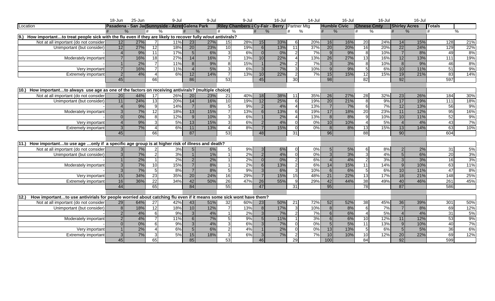|                                                                                                                          | 18-Jun | 25-Jun        |                 | 9-Jul                                           |                  | 9-Jul |                 | 9-Jul                                        |                 | $16 -$ Jul |                | $14$ -Jul |                 | 16-Jul              |                    | 16-Jul |                      | 16-Jul        |                 |     |
|--------------------------------------------------------------------------------------------------------------------------|--------|---------------|-----------------|-------------------------------------------------|------------------|-------|-----------------|----------------------------------------------|-----------------|------------|----------------|-----------|-----------------|---------------------|--------------------|--------|----------------------|---------------|-----------------|-----|
| Location                                                                                                                 |        |               |                 | Pasadena - San Ja Sunnyside - Acres Galena Park |                  |       |                 | Riley Chambers - Cy-Fair - Berry Partner Mtg |                 |            |                |           |                 | <b>Humble Civic</b> | <b>Chnese Cmty</b> |        | <b>Shirley Acres</b> |               | <b>I</b> Totals |     |
|                                                                                                                          |        | $\frac{0}{0}$ |                 |                                                 |                  |       | #               | $\%$                                         |                 | %          | #              | %         |                 | $\%$                | %<br>#             |        | #                    | $\frac{9}{6}$ | #               | %   |
| 9.)<br>How importantto treat people sick with the flu even if they are likely to recover fully w/out antivirals?         |        |               |                 |                                                 |                  |       |                 |                                              |                 |            |                |           |                 |                     |                    |        |                      |               |                 |     |
| Not at all important (do not consider                                                                                    | 12     | 27%           |                 | 11%                                             | 23               | 27%   | 15              | 28%                                          | 15              | 33%        | 6              | 20%       | 16              | 16%                 | 20                 | 24%    | 14                   | 15%           | 128             | 21% |
| Unimportant (but consider)                                                                                               | 12     | 27%           | 12              | 18%                                             | 20               | 23%   | 10              | 19%                                          | <sup>6</sup>    | 13%        | 11             | 37%       | 20              | 20%                 | 16                 | 20%    | 22                   | 24%           | 129             | 22% |
|                                                                                                                          |        | 9%            | $\overline{11}$ | 17%                                             | $5 \overline{5}$ | 6%    | $\mathbf{3}$    | 6%                                           | $\Omega$        | 0%         | 2              | 7%        | 9               | 9%                  | 8                  | 10%    | $\overline{7}$       | 8%            | 49              | 8%  |
| Moderately important                                                                                                     |        | 16%           | $\overline{18}$ | 27%                                             | 14               | 16%   | $\overline{7}$  | 13%                                          | 10 <sup>1</sup> | 22%        | $\overline{A}$ | 13%       | 26              | 27%                 | 13                 | 16%    | 12                   | 13%           | 111             | 19% |
|                                                                                                                          |        | 2%            | $\overline{7}$  | 11%                                             | 8                | 9%    | 8 <sup>1</sup>  | 15%                                          |                 | 2%         | $\overline{2}$ | 7%        | 3 <sup>l</sup>  | 3%                  | 81                 | 10%    | 8                    | 9%            | 46              | 8%  |
| Very important                                                                                                           |        | 16%           | $\overline{7}$  | 11%                                             |                  | 5%    | $\overline{3}$  | 6%                                           | $\mathcal{R}$   | 7%         | 3I             | 10%       | $\mathbf{Q}$    | 9%                  | .5I                | 6%     | 10                   | 11%           | 51              | 9%  |
| <b>Extremely important</b>                                                                                               |        | 4%            | $\overline{A}$  | 6%                                              | 12               | 14%   | $\overline{7}$  | 13%                                          | 10 <sup>1</sup> | 22%        | 2              | 7%        | 15              | 15%                 | 12                 | 15%    | 19                   | 21%           | 83              | 14% |
|                                                                                                                          | 45     |               | 66              |                                                 | 86               |       | 53              |                                              | 45              |            | 30             |           | 98              |                     | 82                 |        | 92                   |               | 597             |     |
|                                                                                                                          |        |               |                 |                                                 |                  |       |                 |                                              |                 |            |                |           |                 |                     |                    |        |                      |               |                 |     |
| $\overline{10}$ .)<br>How importantto always use age as one of the factors on receiving antivirals? (multiple choice)    |        |               |                 |                                                 |                  |       |                 |                                              |                 |            |                |           |                 |                     |                    |        |                      |               |                 |     |
| Not at all important (do not consider                                                                                    | 20     | 44%           | 17              | 26%                                             | 20               | 23%   | $\overline{21}$ | 40%                                          | 18              | 38%        | 11             | 35%       | 26              | 27%                 | 28                 | 32%    | 23                   | 26%           | 184             | 30% |
| Unimportant (but consider)                                                                                               | 11     | 24%           | 13              | 20%                                             | 14               | 16%   | 10              | 19%                                          | 12              | 25%        | 6              | 19%       | 20              | 21%                 | 8                  | 9%     | 17                   | 19%           | 111             | 18% |
|                                                                                                                          |        | 9%            | 9               | 14%                                             | $\overline{7}$   | 8%    | -5 I            | 9%                                           | 2 <sup>1</sup>  | 4%         | $\overline{4}$ | 13%       | 7 <sup>1</sup>  | 7%                  | 6I                 | 7%     | 12                   | 13%           | 56              | 9%  |
| Moderately important                                                                                                     |        | 7%            | 12              | 18%                                             | 13               | 15%   | $\overline{7}$  | 13%                                          |                 | 13%        | $6 \mid$       | 19%       | 17              | 18%                 | 20                 | 23%    | 11                   | 12%           | 95              | 16% |
|                                                                                                                          |        | 0%            | 8               | 12%                                             | $\overline{9}$   | 10%   | $\mathcal{E}$   | 6%                                           |                 | 2%         | $\overline{A}$ | 13%       | 8 <sup>1</sup>  | 8%                  | ΩI                 | 10%    | 10                   | 11%           | 52              | 9%  |
| Very important                                                                                                           |        | 9%            | $\mathbf{3}$    | 5%                                              | 13               | 15%   | $\overline{3}$  | 6%                                           |                 | 4%         | $\Omega$       | 0%        | 10              | 10%                 |                    | 5%     |                      | 4%            | 43              | 7%  |
| Extremely important                                                                                                      |        | 7%            | $\overline{4}$  | 6%                                              | 11               | 13%   | $\overline{4}$  | 8%                                           |                 | 15%        | $\Omega$       | 0%        | 8 <sup>1</sup>  | 8%                  | 13                 | 15%    | 13                   | 14%           | 63              | 10% |
|                                                                                                                          | 45     |               | 66              |                                                 | 87               |       | 53              |                                              | 48              |            | 31             |           | 96              |                     | 88                 |        | 90                   |               | 604             |     |
|                                                                                                                          |        |               |                 |                                                 |                  |       |                 |                                              |                 |            |                |           |                 |                     |                    |        |                      |               |                 |     |
| $\overline{11}$ .)<br>How importantto use age only if a specific age group is at higher risk of illness and death?       |        |               |                 |                                                 |                  |       |                 |                                              |                 |            |                |           |                 |                     |                    |        |                      |               |                 |     |
| Not at all important (do not consider                                                                                    |        | 7%            | $\overline{2}$  | 3%                                              | 5 <sub>1</sub>   | 6%    | 5 <sup>1</sup>  | 9%                                           | 3 <sup>l</sup>  | 6%         | $\Omega$       | 0%        | 5 <sub>1</sub>  | 5%                  | 6I                 | 8%     | $\mathcal{P}$        | 2%            | 31              | 5%  |
| Unimportant (but consider)                                                                                               |        | 7%            | $\overline{2}$  | 3%                                              |                  | 1%    |                 | 2%                                           | 2 <sup>1</sup>  | 4%         | $\Omega$       | 0%        | $\overline{3}$  | 3%                  | 3I                 | 4%     | $5\overline{)}$      | 6%            | 20              | 3%  |
|                                                                                                                          |        | 2%            | $\overline{1}$  | $2\%$                                           | 2                | 2%    |                 | $2\%$                                        |                 | $0\%$      | $\overline{2}$ | 6%        | $\Delta$        | 4%                  |                    | 3%     | $\mathbf{3}$         | 3%            | 16              | 3%  |
| Moderately important                                                                                                     |        | 7%            | 10              | 15%                                             | $\overline{7}$   | 8%    |                 | 2%                                           | 6 <sup>1</sup>  | 13%        | $\overline{2}$ | 6%        | 14              | 15%                 | 11                 | 14%    | $\overline{9}$       | 10%           | 63              | 11% |
|                                                                                                                          |        | 7%            | -5              | 8%                                              |                  | 8%    | 5 <sup>1</sup>  | 9%                                           |                 | 6%         | $\overline{3}$ | 10%       | 6 <sup>1</sup>  | 6%                  | $5 \square$        | 6%     | 10                   | 11%           | 47              | 8%  |
| Very important                                                                                                           | 15     | 34%           | 23              | 35%                                             | 20               | 24%   | 16              | 29%                                          |                 | 15%        | 15             | 48%       | 21              | 22%                 | 13                 | 17%    | 18                   | 21%           | 148             | 25% |
| <b>Extremely important</b>                                                                                               | 16     | 36%           | 22              | 34%                                             | 42               | 50%   | 26              | 47%                                          | 26              | 55%        | 9              | 29%       | 42              | 44%                 | 38                 | 49%    | 40                   | 46%           | 261             | 45% |
|                                                                                                                          | 44     |               | 65              |                                                 | 84               |       | 55              |                                              | 47              |            | 31             |           | 95              |                     | $\overline{78}$    |        | 87                   |               | 586             |     |
|                                                                                                                          |        |               |                 |                                                 |                  |       |                 |                                              |                 |            |                |           |                 |                     |                    |        |                      |               |                 |     |
| 12.)<br>How importantto use antivirials for people worried about catching flu even if it means some sick wont have them? |        |               |                 |                                                 |                  |       |                 |                                              |                 |            |                |           |                 |                     |                    |        |                      |               |                 |     |
| Not at all important (do not consider                                                                                    | 29     | 64%           | $\overline{27}$ | 42%                                             | 43               | 51%   | 32              | 60%                                          | 23              | 50%        | 21             | 72%       | 52              | 52%                 | 38                 | 45%    | 36                   | 39%           | 301             | 50% |
| Unimportant (but consider)                                                                                               |        | 18%           | 12              | 18%                                             | 10               | 12%   |                 | 13%                                          | 8 <sup>1</sup>  | 17%        | $\mathbf{3}$   | 10%       | 8 <sup>1</sup>  | 8%                  | 6I                 | 7%     |                      | 8%            | 69              | 12% |
|                                                                                                                          |        | 4%            | $6 \mid$        | 9%                                              | 3 <sup>l</sup>   | 4%    |                 | 2%                                           | $\mathbf{3}$    | 7%         | <sup>2</sup>   | 7%        | 6 <sup>1</sup>  | 6%                  | $\overline{4}$     | 5%     |                      | 4%            | 31              | 5%  |
| Moderately importan                                                                                                      |        | 4%            | $\overline{7}$  | 11%                                             | 6 <sup>1</sup>   | 7%    | 5 <sub>l</sub>  | 9%                                           |                 | 11%        | $\overline{1}$ | 3%        | 6 <sup>1</sup>  | 6%                  | 10                 | 12%    | 11                   | 12%           | 53              | 9%  |
|                                                                                                                          |        | 0%            | 6               | 9%                                              | $\overline{3}$   | 4%    | $\mathcal{R}$   | 6%                                           |                 | 7%         | $\Omega$       | 0%        | 5 <sub>l</sub>  | 5%                  | 11                 | 13%    | $\mathbf{Q}$         | 10%           | 40              | 7%  |
| Very important                                                                                                           |        | 2%            | Δ               | 6%                                              | $5\overline{)}$  | 6%    | $\mathcal{P}$   | 4%                                           |                 | 2%         | $\Omega$       | 0%        | 13              | 13%                 | 5 <sup>1</sup>     | 6%     | 5                    | 5%            | 36              | 6%  |
| Extremely importan                                                                                                       |        | 7%            | $\overline{3}$  | 5%                                              | 15               | 18%   | $\overline{3}$  | 6%                                           | 3               | 7%         | $\overline{2}$ | 7%        | 10 <sup>1</sup> | 10%                 | 10                 | 12%    | 20                   | 22%           | 69              | 12% |
|                                                                                                                          | 45     |               | 65              |                                                 | 85               |       | 53              |                                              | 46              |            | 29             |           | 100             |                     | $\overline{84}$    |        | 92                   |               | 599             |     |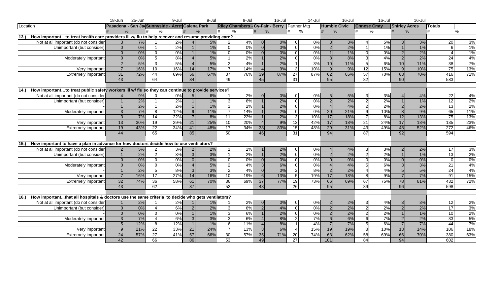|          |                                                                                                   | 18-Jun         | 25-Jun        |                 | 9-Jul                                           |                | 9-Jul         |                 | 9-Jul                                        |                 | 16-Jul |                 | $14$ -Jul |                 | 16-Jul              |                    | 16-Jul |                      | 16-Jul |                 |                   |
|----------|---------------------------------------------------------------------------------------------------|----------------|---------------|-----------------|-------------------------------------------------|----------------|---------------|-----------------|----------------------------------------------|-----------------|--------|-----------------|-----------|-----------------|---------------------|--------------------|--------|----------------------|--------|-----------------|-------------------|
| Location |                                                                                                   |                |               |                 | Pasadena - San Ja Sunnyside - Acres Galena Park |                |               |                 | Riley Chambers - Cy-Fair - Berry Partner Mtg |                 |        |                 |           |                 | <b>Humble Civic</b> | <b>Chnese Cmty</b> |        | <b>Shirley Acres</b> |        | <b>I</b> Totals |                   |
|          |                                                                                                   |                | $\frac{0}{6}$ |                 | $\frac{0}{0}$                                   |                | $\frac{0}{6}$ | #               | $\%$                                         |                 | %      | #               | %         |                 | $\%$                | #                  | %      | #                    | $\%$   | #               | %                 |
| 13.)     | How importantto treat health care providers ill w/ flu to help recover and resume providing care? |                |               |                 |                                                 |                |               |                 |                                              |                 |        |                 |           |                 |                     |                    |        |                      |        |                 |                   |
|          | Not at all important (do not consider                                                             | 3 <sup>l</sup> | 7%            |                 | 2%                                              |                | 5%            | $\mathcal{P}$   | 4%                                           | $\Omega$        | $0\%$  |                 | 0%        | $\mathbf{3}$    | 3%                  |                    | 5%     | $\mathcal{R}$        | 3%     | 20              | 3%                |
|          | Unimportant (but consider)                                                                        |                | 0%            |                 | 2%                                              |                | 1%            | $\Omega$        | 0%                                           | $\Omega$        | 0%     | $\Omega$        | 0%        | $\overline{2}$  | 2%                  |                    | 1%     |                      | 1%     | 6               | 1%                |
|          |                                                                                                   |                | 0%            | $\Omega$        | $0\%$                                           |                | 1%            | $\Omega$        | 0%                                           |                 | 0%     | $\Omega$        | 0%        |                 | 1%                  |                    | 0%     | $\mathcal{P}$        | 2%     |                 | 1%                |
|          | Moderately important                                                                              |                | 0%            | -51             | 8%                                              |                | 5%            |                 | 2%                                           |                 | 2%     | $\Omega$        | 0%        | 8 <sup>1</sup>  | 8%                  | зI                 | 4%     | $\overline{2}$       | 2%     | $\overline{24}$ | 4%                |
|          |                                                                                                   |                | 5%            | $\overline{3}$  | 5%                                              |                | 5%            | $\mathcal{P}$   | 4%                                           |                 | 2%     |                 | 3%        | 10 <sup>1</sup> | 11%                 | 5 <sub>l</sub>     | 6%     | 10                   | 11%    | 38              | 7%                |
|          | Very important                                                                                    |                | 16%           | 10 <sup>1</sup> | 16%                                             | 14             | 17%           | $\overline{7}$  | 14%                                          |                 | 9%     | $\overline{3}$  | 10%       | 9 <sub>l</sub>  | 9%                  | 12                 | 15%    | 9                    | 10%    | $\overline{75}$ | 13%               |
|          | <b>Extremely important</b>                                                                        | 31             | 72%           | 44              | 69%                                             | 56             | 67%           | $\overline{37}$ | 76%                                          | 39              | 87%    | $\overline{27}$ | 87%       | 62              | 65%                 | 57                 | 70%    | 63                   | 70%    | 416             | 71%               |
|          |                                                                                                   | 43             |               | 64              |                                                 | 84             |               | 49              |                                              | 45              |        | 31              |           | 95              |                     | 82                 |        | 90                   |        | 583             |                   |
|          |                                                                                                   |                |               |                 |                                                 |                |               |                 |                                              |                 |        |                 |           |                 |                     |                    |        |                      |        |                 |                   |
| 14.      | How importantto treat public safety workers ill w/ flu so they can continue to provide services?  |                |               |                 |                                                 |                |               |                 |                                              |                 |        |                 |           |                 |                     |                    |        |                      |        |                 |                   |
|          | Not at all important (do not consider                                                             |                | 9%            | $\Omega$        | $0\%$                                           | 5 <sub>l</sub> | 6%            |                 | 2%                                           | $\Omega$        | 0%     | $\Omega$        | 0%        | 5 <sub>l</sub>  | 5%                  | зI                 | 3%     |                      | 4%     | 22              | 4%                |
|          | Unimportant (but consider)                                                                        |                | 2%            | $\overline{1}$  | 2%                                              |                | 1%            | $\overline{3}$  | 6%                                           |                 | 2%     | $\Omega$        | 0%        | $\overline{2}$  | 2%                  | $\mathcal{P}$      | 2%     |                      | 1%     | 12              | 2%                |
|          |                                                                                                   |                | 2%            | $\overline{1}$  | 2%                                              |                | 1%            |                 | 2%                                           |                 | 2%     | $\Omega$        | 0%        | $\Delta$        | 4%                  |                    | 2%     | $\overline{2}$       | 2%     | 13              | 2%                |
|          | Moderately important                                                                              |                | 7%            | $8 \,$          | 12%                                             | 9 <sub>l</sub> | 11%           | $\overline{7}$  | 14%                                          |                 | 2%     | $\Omega$        | 0%        | 20              | 21%                 |                    | 10%    | 8                    | 9%     | 65              | 11%               |
|          |                                                                                                   |                | 7%            | $\overline{14}$ | 22%                                             | $\overline{7}$ | 8%            | 11              | 22%                                          |                 | 2%     | 3I              | 10%       | 17              | 18%                 |                    | 8%     | 12                   | 13%    | 75              | 13%               |
|          | Very important                                                                                    | 13             | 30%           | 19              | 29%                                             | 21             | 25%           | 10              | 20%                                          |                 | 9%     | 13              | 42%       | 17              | 18%                 | 21                 | 24%    | 17                   | 18%    | 135             | 23%               |
|          | Extremely important                                                                               | 19             | 43%           | 22              | 34%                                             | 41             | 48%           | 17              | 34%                                          | 38 <sup>l</sup> | 83%    | 15              | 48%       | 29              | 31%                 | 43                 | 49%    | 48                   | 52%    | 272             | 46%               |
|          |                                                                                                   | 44             |               | 65              |                                                 | 85             |               | 50              |                                              | 46              |        | 31              |           | 94              |                     | 87                 |        | 92                   |        | 594             |                   |
|          |                                                                                                   |                |               |                 |                                                 |                |               |                 |                                              |                 |        |                 |           |                 |                     |                    |        |                      |        |                 |                   |
| 15.      | How important to have a plan in advance for how doctors decide how to use ventilators?            |                |               |                 |                                                 |                |               |                 |                                              |                 |        |                 |           |                 |                     |                    |        |                      |        |                 |                   |
|          | Not at all important (do not consider                                                             |                | 5%            | $\overline{2}$  | 3%                                              | $\mathcal{P}$  | 2%            |                 | 2%                                           |                 | 2%     | $\Omega$        | 0%        | $\Delta$        | 4%                  | 3I                 | 3%     | $\mathcal{P}$        | 2%     | 17              | 3%                |
|          | Unimportant (but consider)                                                                        |                | 2%            | $\overline{2}$  | 3%                                              | $\omega$       | 3%            |                 | 2%                                           |                 | 2%     | $\Omega$        | 0%        | $\overline{2}$  | 2%                  | 21                 | 2%     |                      | 1%     | 13              | 2%                |
|          |                                                                                                   |                | 0%            | $\Omega$        | 0%                                              | $\Omega$       | 0%            | $\Omega$        | 0%                                           |                 | $0\%$  | $\Omega$        | 0%        | $\Omega$        | 0%                  |                    | 0%     | $\Omega$             | 0%     | $\Omega$        | 0%                |
|          | Moderately important                                                                              |                | 0%            | $\Omega$        | 0%                                              |                | 5%            | 2 <sup>1</sup>  | 4%                                           | 3 <sup>1</sup>  | 6%     | $\Omega$        | 0%        |                 | 4%                  |                    | 6%     | $\mathcal{B}$        | 3%     | 21              | 4%                |
|          |                                                                                                   |                | 2%            | 5 <sup>1</sup>  | 8%                                              | $\mathbf{3}$   | 3%            | 2               | 4%                                           |                 | 0%     | $\overline{2}$  | 8%        | $\mathcal{P}$   | 2%                  |                    | 4%     | 5                    | 5%     | 24              | 4%                |
|          | Very important                                                                                    |                | 16%           | $\overline{17}$ | 27%                                             | 14             | 16%           | 10              | 19%                                          | 61              | 13%    | -5 I            | 19%       | 17              | 18%                 | 8I                 | 9%     | $\overline{7}$       | 7%     | 91              | 15%               |
|          | <b>Extremely important</b>                                                                        | 32             | 74%           | 36              | 58%                                             | 61             | 70%           | 36              | 69%                                          | 37              | 77%    | 19              | 73%       | 66              | 69%                 | 67                 | 75%    | 78                   | 81%    | 432             | 72%               |
|          |                                                                                                   | 43             |               | 62              |                                                 | 87             |               | 52              |                                              | 48              |        | $\overline{26}$ |           | 95              |                     | $\overline{89}$    |        | 96                   |        | 598             |                   |
|          |                                                                                                   |                |               |                 |                                                 |                |               |                 |                                              |                 |        |                 |           |                 |                     |                    |        |                      |        |                 |                   |
| 16.)     | How importantthat all hospitals & doctors use the same criteria to decide who gets ventilators?   |                |               |                 |                                                 |                |               |                 |                                              |                 |        |                 |           |                 |                     |                    |        |                      |        |                 |                   |
|          | Not at all important (do not consider                                                             |                | 2%            |                 | 2%                                              |                | 1%            |                 | 2%                                           | $\Omega$        | 0%     | <sup>0</sup>    | 0%        | 2 <sub>l</sub>  | 2%                  | 3I                 | 4%     | 3                    | 3%     | 12              | 2%                |
|          | Unimportant (but consider)                                                                        |                | 0%            |                 | 6%                                              | 2              | 2%            | 3 <sup>l</sup>  | 6%                                           | $\mathcal{D}$   | 4%     | $\Omega$        | 0%        | 2 <sub>l</sub>  | 2%                  |                    | 2%     | $\mathcal{P}$        | 2%     | 17              | $\frac{3\%}{2\%}$ |
|          |                                                                                                   |                | 0%            | $\Omega$        | $0\%$                                           |                | 1%            | 3I              | 6%                                           |                 | 2%     | $\Omega$        | 0%        | 2 <sub>l</sub>  | 2%                  | 21                 | 2%     |                      | 1%     | 10              |                   |
|          | Moderately important                                                                              |                | 7%            | $\Delta$        | 6%                                              | 3              | 3%            | 3 <sup>l</sup>  | 6%                                           |                 | 8%     | $\overline{2}$  | 7%        | 6               | 6%                  | 61                 | 7%     | $\mathcal{P}$        | 2%     | 33              | 5%                |
|          |                                                                                                   |                | 12%           | 8               | 12%                                             | $\overline{1}$ | 1%            | $6 \mid$        | 11%                                          |                 | 8%     | $\overline{1}$  | 4%        | 7 <sup>1</sup>  | 7%                  | 5 <sup>1</sup>     | 6%     | $\overline{7}$       | 7%     | 44              | 7%                |
|          | Very important                                                                                    |                | 21%           | 22              | 33%                                             | 21             | 24%           |                 | 13%                                          |                 | 6%     | $\overline{4}$  | 15%       | 19              | 19%                 | 81                 | 10%    | 13                   | 14%    | 106             | 18%               |
|          | <b>Extremely important</b>                                                                        | 24             | 57%           | 27              | 41%                                             | 57             | 66%           | 30              | 57%                                          | 35              | 71%    | 20              | 74%       | 63              | 62%                 | 58                 | 69%    | 66                   | 70%    | 380             | 63%               |
|          |                                                                                                   | 42             |               | 66              |                                                 | 86             |               | 53              |                                              | 49              |        | $\overline{27}$ |           | 101             |                     | 84                 |        | 94                   |        | 602             |                   |